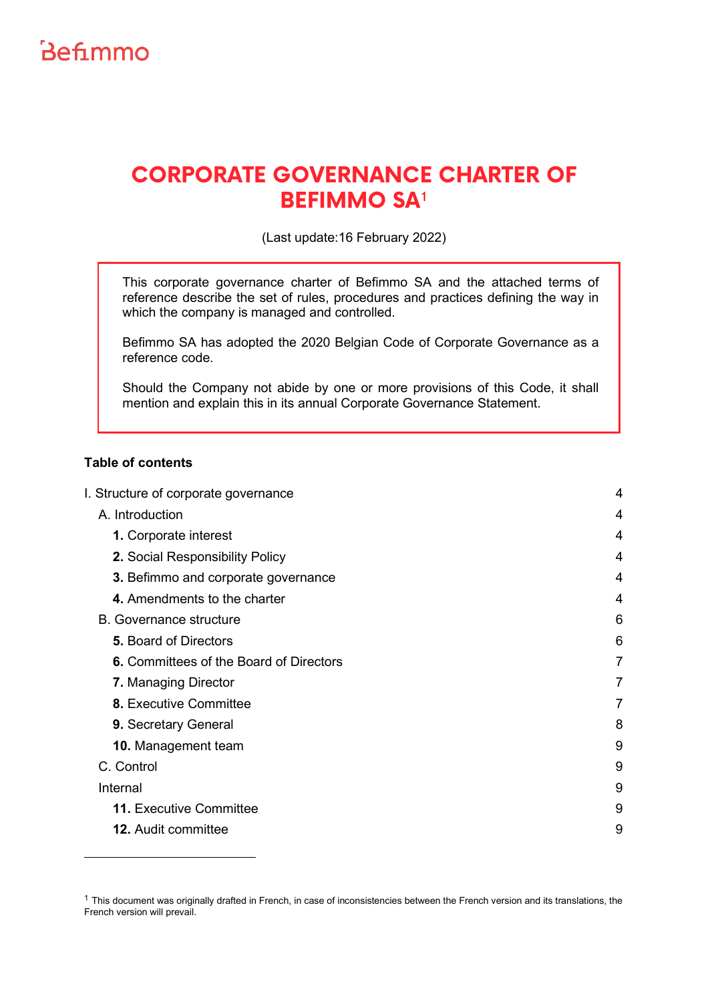

# **CORPORATE GOVERNANCE CHARTER OF BEFIMMO SA**[1](#page-0-0)

(Last update:16 February 2022)

This corporate governance charter of Befimmo SA and the attached terms of reference describe the set of rules, procedures and practices defining the way in which the company is managed and controlled.

Befimmo SA has adopted the 2020 Belgian Code of Corporate Governance as a reference code.

Should the Company not abide by one or more provisions of this Code, it shall mention and explain this in its annual Corporate Governance Statement.

## **Table of contents**

| I. Structure of corporate governance    | 4 |
|-----------------------------------------|---|
| A. Introduction                         | 4 |
| 1. Corporate interest                   | 4 |
| 2. Social Responsibility Policy         | 4 |
| 3. Befimmo and corporate governance     | 4 |
| 4. Amendments to the charter            | 4 |
| <b>B.</b> Governance structure          | 6 |
| <b>5. Board of Directors</b>            | 6 |
| 6. Committees of the Board of Directors | 7 |
| 7. Managing Director                    | 7 |
| 8. Executive Committee                  | 7 |
| 9. Secretary General                    | 8 |
| 10. Management team                     | 9 |
| C. Control                              | 9 |
| Internal                                | 9 |
| <b>11. Executive Committee</b>          | 9 |
| <b>12.</b> Audit committee              | 9 |
|                                         |   |

<span id="page-0-0"></span> $1$  This document was originally drafted in French, in case of inconsistencies between the French version and its translations, the French version will prevail.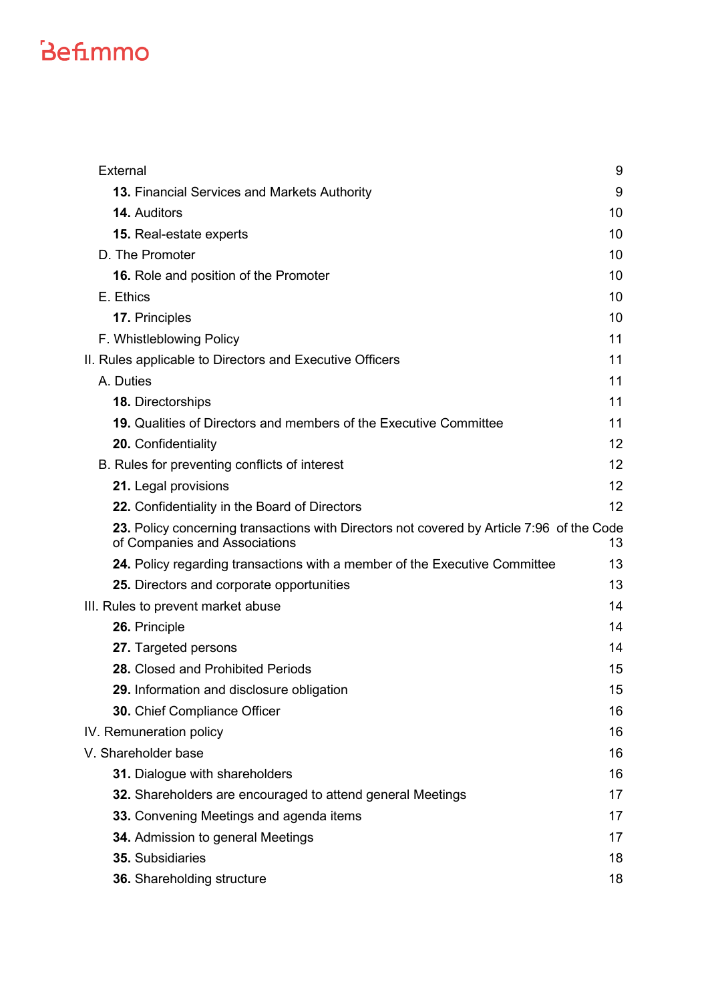| External                                                                                                                   | 9  |
|----------------------------------------------------------------------------------------------------------------------------|----|
| 13. Financial Services and Markets Authority                                                                               | 9  |
| <b>14. Auditors</b>                                                                                                        | 10 |
| 15. Real-estate experts                                                                                                    | 10 |
| D. The Promoter                                                                                                            | 10 |
| <b>16.</b> Role and position of the Promoter                                                                               | 10 |
| E. Ethics                                                                                                                  | 10 |
| 17. Principles                                                                                                             | 10 |
| F. Whistleblowing Policy                                                                                                   | 11 |
| II. Rules applicable to Directors and Executive Officers                                                                   | 11 |
| A. Duties                                                                                                                  | 11 |
| 18. Directorships                                                                                                          | 11 |
| 19. Qualities of Directors and members of the Executive Committee                                                          | 11 |
| 20. Confidentiality                                                                                                        | 12 |
| B. Rules for preventing conflicts of interest                                                                              | 12 |
| 21. Legal provisions                                                                                                       | 12 |
| 22. Confidentiality in the Board of Directors                                                                              | 12 |
| 23. Policy concerning transactions with Directors not covered by Article 7:96 of the Code<br>of Companies and Associations | 13 |
| 24. Policy regarding transactions with a member of the Executive Committee                                                 | 13 |
| 25. Directors and corporate opportunities                                                                                  | 13 |
| III. Rules to prevent market abuse                                                                                         | 14 |
| 26. Principle                                                                                                              | 14 |
| 27. Targeted persons                                                                                                       | 14 |
| 28. Closed and Prohibited Periods                                                                                          | 15 |
| 29. Information and disclosure obligation                                                                                  | 15 |
| 30. Chief Compliance Officer                                                                                               | 16 |
| IV. Remuneration policy                                                                                                    | 16 |
| V. Shareholder base                                                                                                        | 16 |
| 31. Dialogue with shareholders                                                                                             | 16 |
| 32. Shareholders are encouraged to attend general Meetings                                                                 | 17 |
| 33. Convening Meetings and agenda items                                                                                    | 17 |
| 34. Admission to general Meetings                                                                                          | 17 |
| 35. Subsidiaries                                                                                                           | 18 |
| 36. Shareholding structure                                                                                                 | 18 |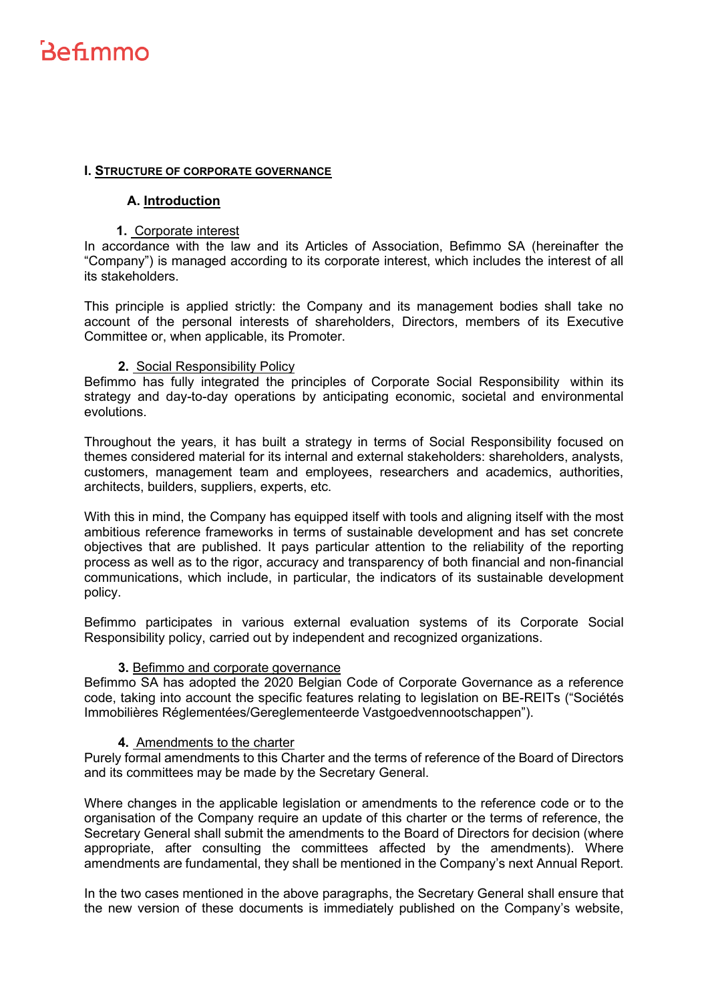## <span id="page-3-1"></span><span id="page-3-0"></span>**I. STRUCTURE OF CORPORATE GOVERNANCE**

#### **A. Introduction**

#### <span id="page-3-2"></span>**1.** Corporate interest

In accordance with the law and its Articles of Association, Befimmo SA (hereinafter the "Company") is managed according to its corporate interest, which includes the interest of all its stakeholders.

This principle is applied strictly: the Company and its management bodies shall take no account of the personal interests of shareholders, Directors, members of its Executive Committee or, when applicable, its Promoter.

#### <span id="page-3-3"></span>**2.** Social Responsibility Policy

Befimmo has fully integrated the principles of Corporate Social Responsibility within its strategy and day-to-day operations by anticipating economic, societal and environmental evolutions.

Throughout the years, it has built a strategy in terms of Social Responsibility focused on themes considered material for its internal and external stakeholders: shareholders, analysts, customers, management team and employees, researchers and academics, authorities, architects, builders, suppliers, experts, etc.

With this in mind, the Company has equipped itself with tools and aligning itself with the most ambitious reference frameworks in terms of sustainable development and has set concrete objectives that are published. It pays particular attention to the reliability of the reporting process as well as to the rigor, accuracy and transparency of both financial and non-financial communications, which include, in particular, the indicators of its sustainable development policy.

Befimmo participates in various external evaluation systems of its Corporate Social Responsibility policy, carried out by independent and recognized organizations.

#### **3.** Befimmo and corporate governance

<span id="page-3-4"></span>Befimmo SA has adopted the 2020 Belgian Code of Corporate Governance as a reference code, taking into account the specific features relating to legislation on BE-REITs ("Sociétés Immobilières Réglementées/Gereglementeerde Vastgoedvennootschappen").

## <span id="page-3-5"></span>**4.** Amendments to the charter

Purely formal amendments to this Charter and the terms of reference of the Board of Directors and its committees may be made by the Secretary General.

Where changes in the applicable legislation or amendments to the reference code or to the organisation of the Company require an update of this charter or the terms of reference, the Secretary General shall submit the amendments to the Board of Directors for decision (where appropriate, after consulting the committees affected by the amendments). Where amendments are fundamental, they shall be mentioned in the Company's next Annual Report.

In the two cases mentioned in the above paragraphs, the Secretary General shall ensure that the new version of these documents is immediately published on the Company's website,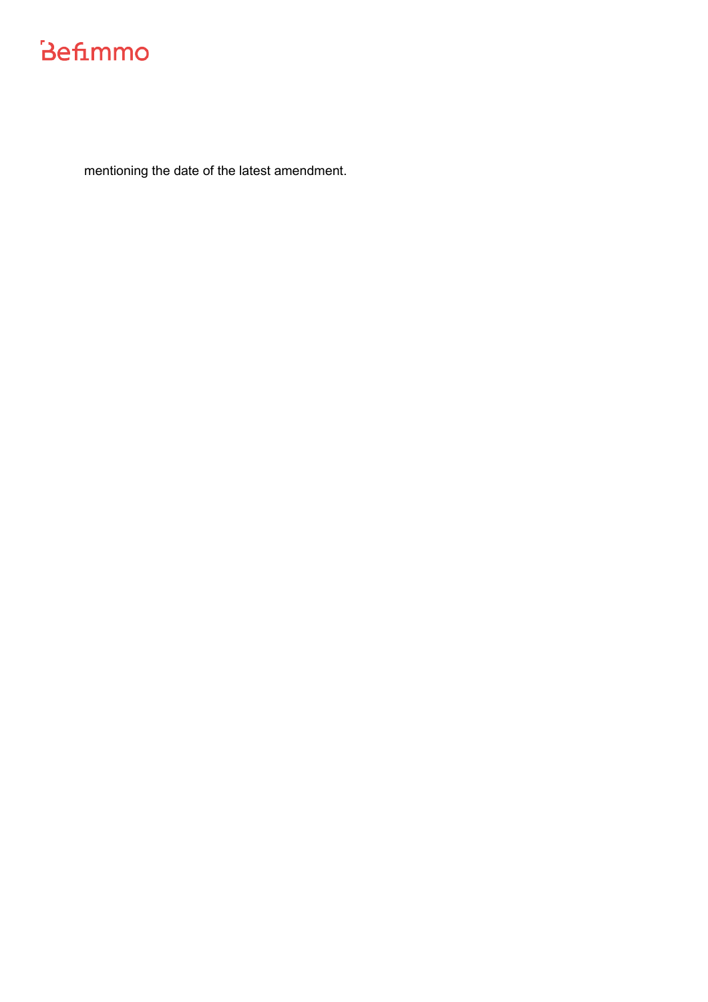mentioning the date of the latest amendment.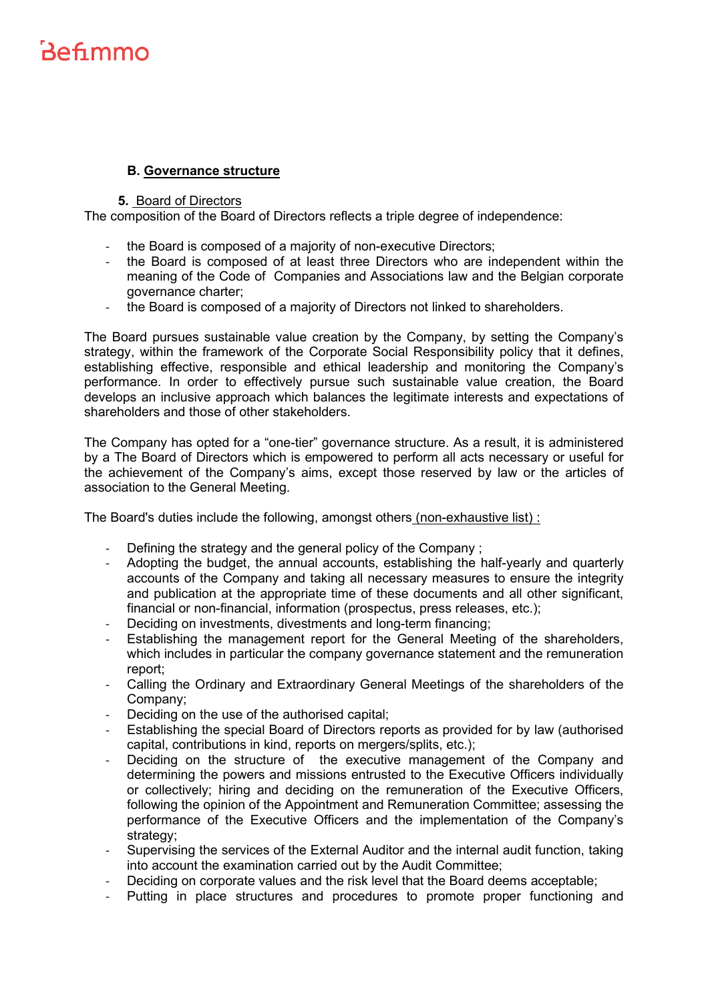# **B. Governance structure**

#### <span id="page-5-1"></span>**5.** Board of Directors

<span id="page-5-0"></span>The composition of the Board of Directors reflects a triple degree of independence:

- the Board is composed of a majority of non-executive Directors;
- the Board is composed of at least three Directors who are independent within the meaning of the Code of Companies and Associations law and the Belgian corporate governance charter;
- the Board is composed of a majority of Directors not linked to shareholders.

The Board pursues sustainable value creation by the Company, by setting the Company's strategy, within the framework of the Corporate Social Responsibility policy that it defines, establishing effective, responsible and ethical leadership and monitoring the Company's performance. In order to effectively pursue such sustainable value creation, the Board develops an inclusive approach which balances the legitimate interests and expectations of shareholders and those of other stakeholders.

The Company has opted for a "one-tier" governance structure. As a result, it is administered by a The Board of Directors which is empowered to perform all acts necessary or useful for the achievement of the Company's aims, except those reserved by law or the articles of association to the General Meeting.

The Board's duties include the following, amongst others (non-exhaustive list) :

- Defining the strategy and the general policy of the Company ;
- Adopting the budget, the annual accounts, establishing the half-yearly and quarterly accounts of the Company and taking all necessary measures to ensure the integrity and publication at the appropriate time of these documents and all other significant, financial or non-financial, information (prospectus, press releases, etc.);
- Deciding on investments, divestments and long-term financing;
- Establishing the management report for the General Meeting of the shareholders, which includes in particular the company governance statement and the remuneration report;
- Calling the Ordinary and Extraordinary General Meetings of the shareholders of the Company;
- Deciding on the use of the authorised capital;
- Establishing the special Board of Directors reports as provided for by law (authorised capital, contributions in kind, reports on mergers/splits, etc.);
- Deciding on the structure of the executive management of the Company and determining the powers and missions entrusted to the Executive Officers individually or collectively; hiring and deciding on the remuneration of the Executive Officers, following the opinion of the Appointment and Remuneration Committee; assessing the performance of the Executive Officers and the implementation of the Company's strategy;
- Supervising the services of the External Auditor and the internal audit function, taking into account the examination carried out by the Audit Committee;
- Deciding on corporate values and the risk level that the Board deems acceptable;
- Putting in place structures and procedures to promote proper functioning and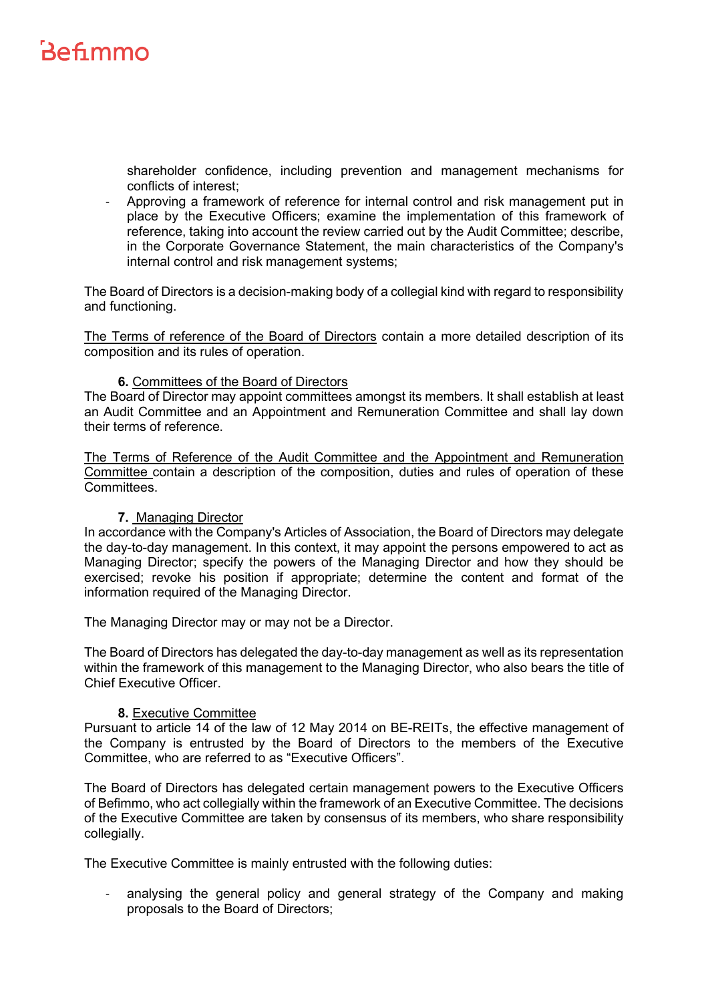shareholder confidence, including prevention and management mechanisms for conflicts of interest;

- Approving a framework of reference for internal control and risk management put in place by the Executive Officers; examine the implementation of this framework of reference, taking into account the review carried out by the Audit Committee; describe, in the Corporate Governance Statement, the main characteristics of the Company's internal control and risk management systems;

The Board of Directors is a decision-making body of a collegial kind with regard to responsibility and functioning.

The Terms of reference of the Board of Directors contain a more detailed description of its composition and its rules of operation.

#### **6.** Committees of the Board of Directors

<span id="page-6-0"></span>The Board of Director may appoint committees amongst its members. It shall establish at least an Audit Committee and an Appointment and Remuneration Committee and shall lay down their terms of reference.

The Terms of Reference of the Audit Committee and the Appointment and Remuneration Committee contain a description of the composition, duties and rules of operation of these Committees.

#### <span id="page-6-1"></span>**7.** Managing Director

In accordance with the Company's Articles of Association, the Board of Directors may delegate the day-to-day management. In this context, it may appoint the persons empowered to act as Managing Director; specify the powers of the Managing Director and how they should be exercised; revoke his position if appropriate; determine the content and format of the information required of the Managing Director.

The Managing Director may or may not be a Director.

The Board of Directors has delegated the day-to-day management as well as its representation within the framework of this management to the Managing Director, who also bears the title of Chief Executive Officer.

#### **8.** Executive Committee

<span id="page-6-2"></span>Pursuant to article 14 of the law of 12 May 2014 on BE-REITs, the effective management of the Company is entrusted by the Board of Directors to the members of the Executive Committee, who are referred to as "Executive Officers".

The Board of Directors has delegated certain management powers to the Executive Officers of Befimmo, who act collegially within the framework of an Executive Committee. The decisions of the Executive Committee are taken by consensus of its members, who share responsibility collegially.

The Executive Committee is mainly entrusted with the following duties:

analysing the general policy and general strategy of the Company and making proposals to the Board of Directors;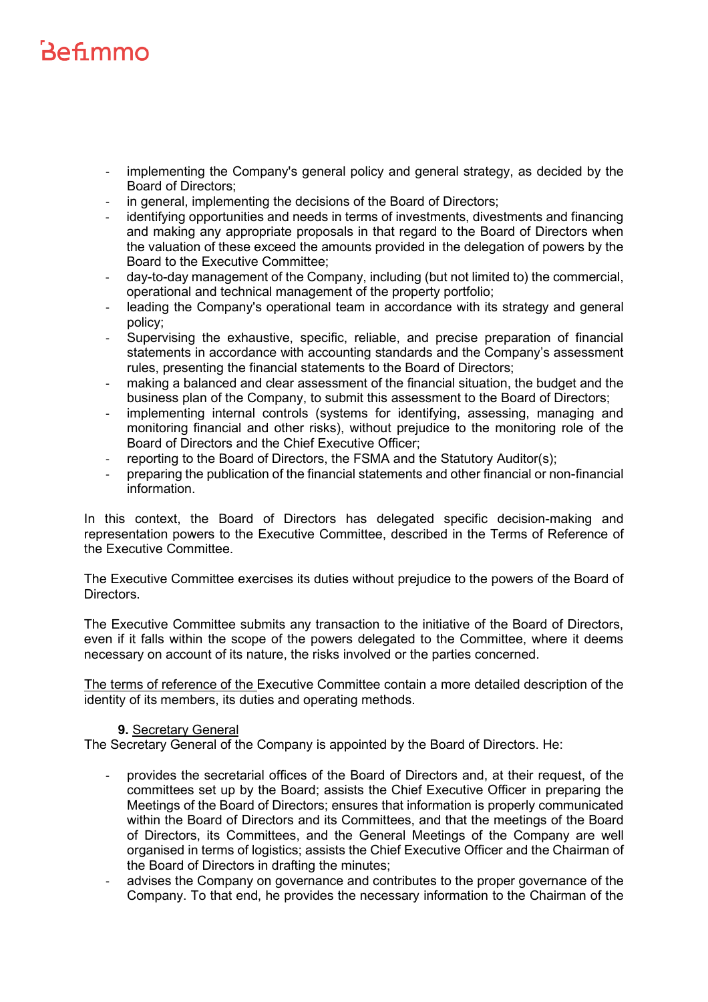- implementing the Company's general policy and general strategy, as decided by the Board of Directors;
- in general, implementing the decisions of the Board of Directors;
- identifying opportunities and needs in terms of investments, divestments and financing and making any appropriate proposals in that regard to the Board of Directors when the valuation of these exceed the amounts provided in the delegation of powers by the Board to the Executive Committee;
- day-to-day management of the Company, including (but not limited to) the commercial, operational and technical management of the property portfolio;
- leading the Company's operational team in accordance with its strategy and general policy;
- Supervising the exhaustive, specific, reliable, and precise preparation of financial statements in accordance with accounting standards and the Company's assessment rules, presenting the financial statements to the Board of Directors;
- making a balanced and clear assessment of the financial situation, the budget and the business plan of the Company, to submit this assessment to the Board of Directors;
- implementing internal controls (systems for identifying, assessing, managing and monitoring financial and other risks), without prejudice to the monitoring role of the Board of Directors and the Chief Executive Officer;
- reporting to the Board of Directors, the FSMA and the Statutory Auditor(s);
- preparing the publication of the financial statements and other financial or non-financial information.

In this context, the Board of Directors has delegated specific decision-making and representation powers to the Executive Committee, described in the Terms of Reference of the Executive Committee.

The Executive Committee exercises its duties without prejudice to the powers of the Board of Directors.

The Executive Committee submits any transaction to the initiative of the Board of Directors, even if it falls within the scope of the powers delegated to the Committee, where it deems necessary on account of its nature, the risks involved or the parties concerned.

The terms of reference of the Executive Committee contain a more detailed description of the identity of its members, its duties and operating methods.

## **9.** Secretary General

<span id="page-7-0"></span>The Secretary General of the Company is appointed by the Board of Directors. He:

- provides the secretarial offices of the Board of Directors and, at their request, of the committees set up by the Board; assists the Chief Executive Officer in preparing the Meetings of the Board of Directors; ensures that information is properly communicated within the Board of Directors and its Committees, and that the meetings of the Board of Directors, its Committees, and the General Meetings of the Company are well organised in terms of logistics; assists the Chief Executive Officer and the Chairman of the Board of Directors in drafting the minutes;
- advises the Company on governance and contributes to the proper governance of the Company. To that end, he provides the necessary information to the Chairman of the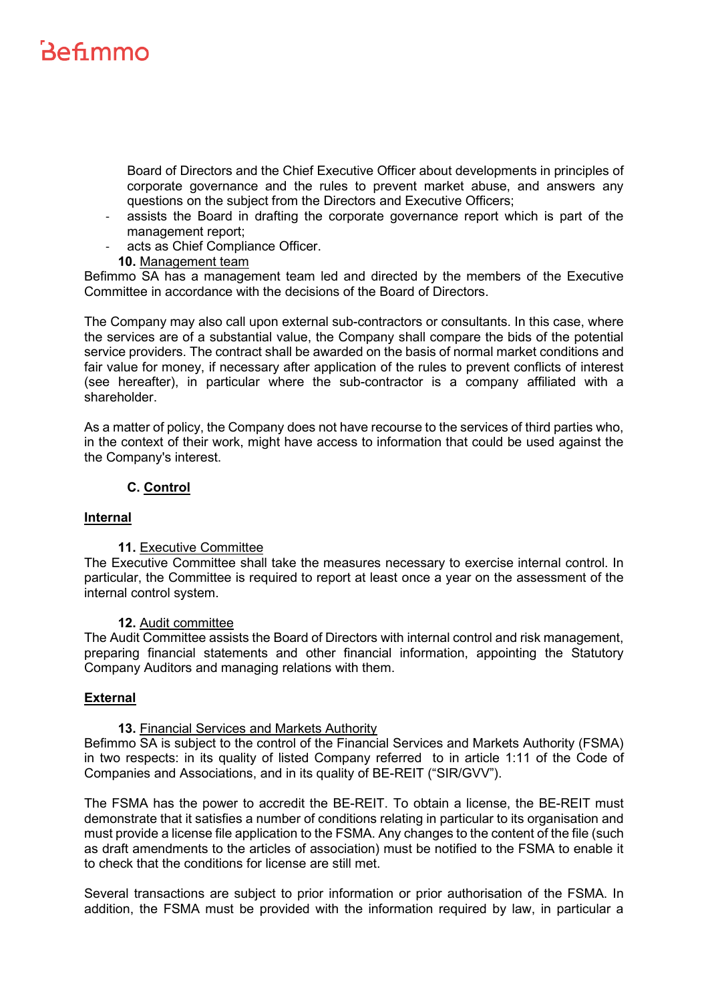Board of Directors and the Chief Executive Officer about developments in principles of corporate governance and the rules to prevent market abuse, and answers any questions on the subject from the Directors and Executive Officers;

- assists the Board in drafting the corporate governance report which is part of the management report;
- acts as Chief Compliance Officer.
- **10.** Management team

<span id="page-8-0"></span>Befimmo SA has a management team led and directed by the members of the Executive Committee in accordance with the decisions of the Board of Directors.

The Company may also call upon external sub-contractors or consultants. In this case, where the services are of a substantial value, the Company shall compare the bids of the potential service providers. The contract shall be awarded on the basis of normal market conditions and fair value for money, if necessary after application of the rules to prevent conflicts of interest (see hereafter), in particular where the sub-contractor is a company affiliated with a shareholder.

As a matter of policy, the Company does not have recourse to the services of third parties who, in the context of their work, might have access to information that could be used against the the Company's interest.

# **C. Control**

## <span id="page-8-2"></span><span id="page-8-1"></span>**Internal**

## **11.** Executive Committee

<span id="page-8-3"></span>The Executive Committee shall take the measures necessary to exercise internal control. In particular, the Committee is required to report at least once a year on the assessment of the internal control system.

#### **12.** Audit committee

<span id="page-8-4"></span>The Audit Committee assists the Board of Directors with internal control and risk management, preparing financial statements and other financial information, appointing the Statutory Company Auditors and managing relations with them.

## <span id="page-8-5"></span>**External**

#### **13.** Financial Services and Markets Authority

<span id="page-8-6"></span>Befimmo SA is subject to the control of the Financial Services and Markets Authority (FSMA) in two respects: in its quality of listed Company referred to in article 1:11 of the Code of Companies and Associations, and in its quality of BE-REIT ("SIR/GVV").

The FSMA has the power to accredit the BE-REIT. To obtain a license, the BE-REIT must demonstrate that it satisfies a number of conditions relating in particular to its organisation and must provide a license file application to the FSMA. Any changes to the content of the file (such as draft amendments to the articles of association) must be notified to the FSMA to enable it to check that the conditions for license are still met.

Several transactions are subject to prior information or prior authorisation of the FSMA. In addition, the FSMA must be provided with the information required by law, in particular a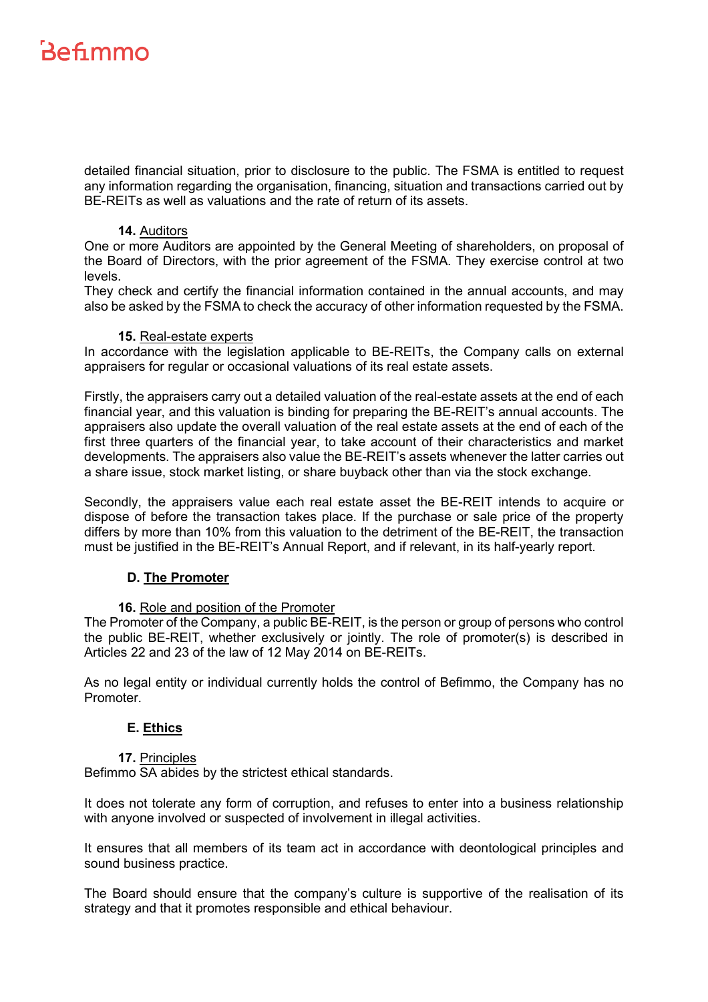detailed financial situation, prior to disclosure to the public. The FSMA is entitled to request any information regarding the organisation, financing, situation and transactions carried out by BE-REITs as well as valuations and the rate of return of its assets.

#### **14.** Auditors

<span id="page-9-0"></span>One or more Auditors are appointed by the General Meeting of shareholders, on proposal of the Board of Directors, with the prior agreement of the FSMA. They exercise control at two levels.

They check and certify the financial information contained in the annual accounts, and may also be asked by the FSMA to check the accuracy of other information requested by the FSMA.

#### **15.** Real-estate experts

<span id="page-9-1"></span>In accordance with the legislation applicable to BE-REITs, the Company calls on external appraisers for regular or occasional valuations of its real estate assets.

Firstly, the appraisers carry out a detailed valuation of the real-estate assets at the end of each financial year, and this valuation is binding for preparing the BE-REIT's annual accounts. The appraisers also update the overall valuation of the real estate assets at the end of each of the first three quarters of the financial year, to take account of their characteristics and market developments. The appraisers also value the BE-REIT's assets whenever the latter carries out a share issue, stock market listing, or share buyback other than via the stock exchange.

Secondly, the appraisers value each real estate asset the BE-REIT intends to acquire or dispose of before the transaction takes place. If the purchase or sale price of the property differs by more than 10% from this valuation to the detriment of the BE-REIT, the transaction must be justified in the BE-REIT's Annual Report, and if relevant, in its half-yearly report.

## <span id="page-9-2"></span>**D. The Promoter**

## **16.** Role and position of the Promoter

<span id="page-9-3"></span>The Promoter of the Company, a public BE-REIT, is the person or group of persons who control the public BE-REIT, whether exclusively or jointly. The role of promoter(s) is described in Articles 22 and 23 of the law of 12 May 2014 on BE-REITs.

<span id="page-9-4"></span>As no legal entity or individual currently holds the control of Befimmo, the Company has no Promoter.

## **E. Ethics**

#### **17.** Principles

<span id="page-9-5"></span>Befimmo SA abides by the strictest ethical standards.

It does not tolerate any form of corruption, and refuses to enter into a business relationship with anyone involved or suspected of involvement in illegal activities.

It ensures that all members of its team act in accordance with deontological principles and sound business practice.

The Board should ensure that the company's culture is supportive of the realisation of its strategy and that it promotes responsible and ethical behaviour.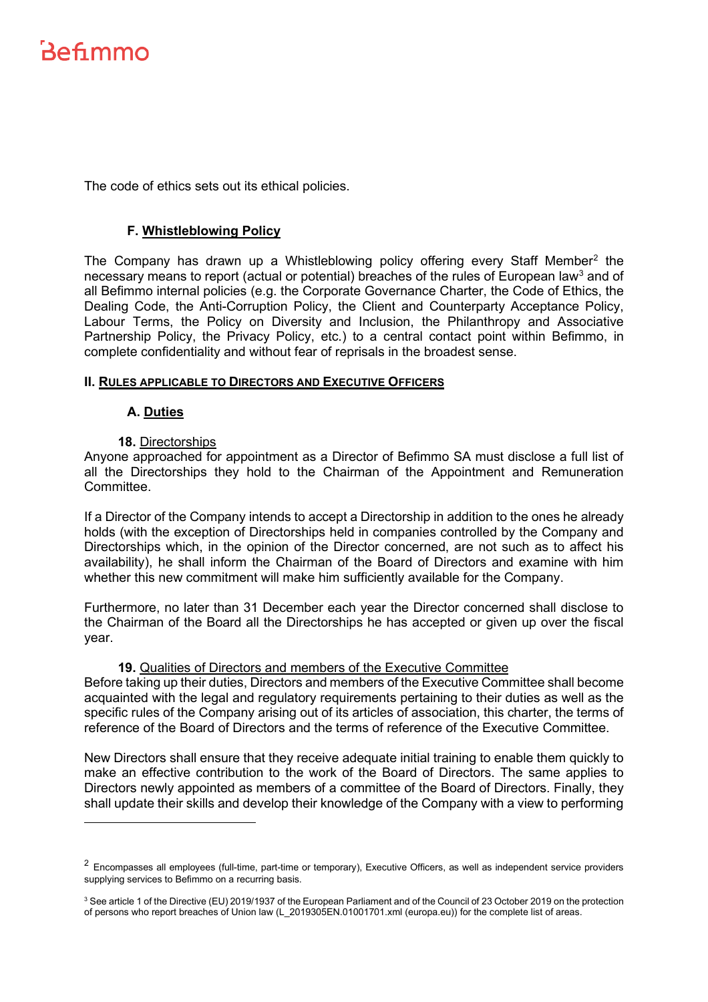The code of ethics sets out its ethical policies.

### **F. Whistleblowing Policy**

<span id="page-10-0"></span>The Company has drawn up a Whistleblowing policy offering every Staff Member<sup>[2](#page-10-5)</sup> the necessary means to report (actual or potential) breaches of the rules of European law<sup>[3](#page-10-6)</sup> and of all Befimmo internal policies (e.g. the Corporate Governance Charter, the Code of Ethics, the Dealing Code, the Anti-Corruption Policy, the Client and Counterparty Acceptance Policy, Labour Terms, the Policy on Diversity and Inclusion, the Philanthropy and Associative Partnership Policy, the Privacy Policy, etc.) to a central contact point within Befimmo, in complete confidentiality and without fear of reprisals in the broadest sense.

#### <span id="page-10-2"></span><span id="page-10-1"></span>**II. RULES APPLICABLE TO DIRECTORS AND EXECUTIVE OFFICERS**

#### **A. Duties**

## **18.** Directorships

<span id="page-10-3"></span>Anyone approached for appointment as a Director of Befimmo SA must disclose a full list of all the Directorships they hold to the Chairman of the Appointment and Remuneration Committee.

If a Director of the Company intends to accept a Directorship in addition to the ones he already holds (with the exception of Directorships held in companies controlled by the Company and Directorships which, in the opinion of the Director concerned, are not such as to affect his availability), he shall inform the Chairman of the Board of Directors and examine with him whether this new commitment will make him sufficiently available for the Company.

Furthermore, no later than 31 December each year the Director concerned shall disclose to the Chairman of the Board all the Directorships he has accepted or given up over the fiscal year.

#### **19.** Qualities of Directors and members of the Executive Committee

<span id="page-10-4"></span>Before taking up their duties, Directors and members of the Executive Committee shall become acquainted with the legal and regulatory requirements pertaining to their duties as well as the specific rules of the Company arising out of its articles of association, this charter, the terms of reference of the Board of Directors and the terms of reference of the Executive Committee.

New Directors shall ensure that they receive adequate initial training to enable them quickly to make an effective contribution to the work of the Board of Directors. The same applies to Directors newly appointed as members of a committee of the Board of Directors. Finally, they shall update their skills and develop their knowledge of the Company with a view to performing

<span id="page-10-5"></span> $2$  Encompasses all employees (full-time, part-time or temporary), Executive Officers, as well as independent service providers supplying services to Befimmo on a recurring basis.

<span id="page-10-6"></span><sup>&</sup>lt;sup>3</sup> See article 1 of the Directive (EU) 2019/1937 of the European Parliament and of the Council of 23 October 2019 on the protection of persons who report breaches of Union law [\(L\\_2019305EN.01001701.xml \(europa.eu\)\)](https://eur-lex.europa.eu/legal-content/EN/TXT/HTML/?uri=CELEX:32019L1937&from=FR) for the complete list of areas.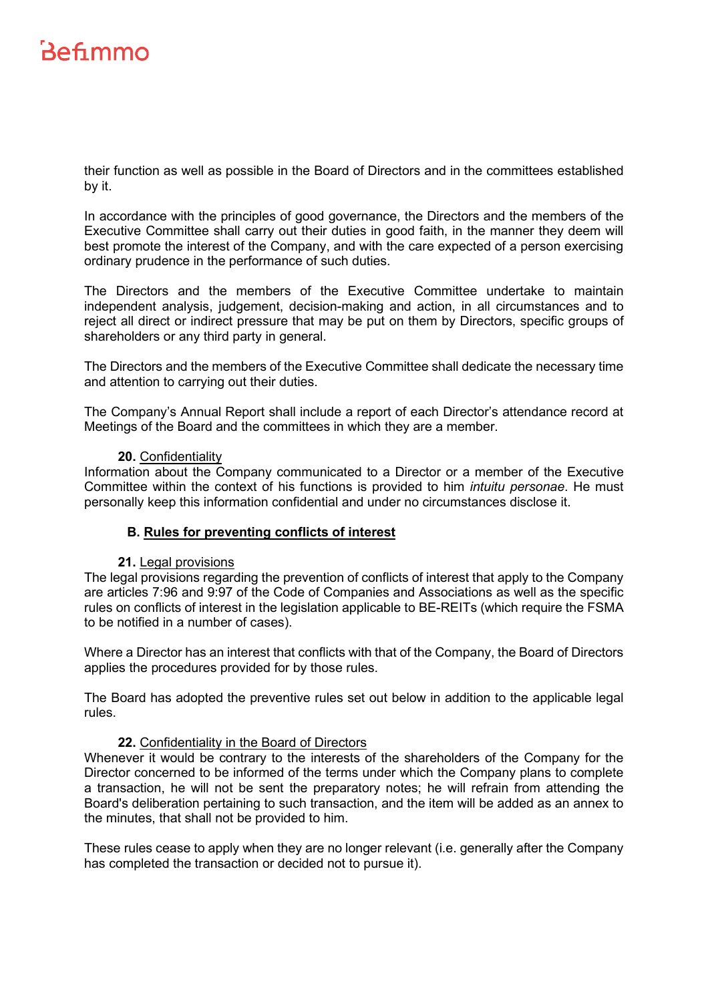their function as well as possible in the Board of Directors and in the committees established by it.

In accordance with the principles of good governance, the Directors and the members of the Executive Committee shall carry out their duties in good faith, in the manner they deem will best promote the interest of the Company, and with the care expected of a person exercising ordinary prudence in the performance of such duties.

The Directors and the members of the Executive Committee undertake to maintain independent analysis, judgement, decision-making and action, in all circumstances and to reject all direct or indirect pressure that may be put on them by Directors, specific groups of shareholders or any third party in general.

The Directors and the members of the Executive Committee shall dedicate the necessary time and attention to carrying out their duties.

The Company's Annual Report shall include a report of each Director's attendance record at Meetings of the Board and the committees in which they are a member.

#### **20.** Confidentiality

<span id="page-11-0"></span>Information about the Company communicated to a Director or a member of the Executive Committee within the context of his functions is provided to him *intuitu personae*. He must personally keep this information confidential and under no circumstances disclose it.

## **B. Rules for preventing conflicts of interest**

#### <span id="page-11-1"></span>**21.** Legal provisions

<span id="page-11-2"></span>The legal provisions regarding the prevention of conflicts of interest that apply to the Company are articles 7:96 and 9:97 of the Code of Companies and Associations as well as the specific rules on conflicts of interest in the legislation applicable to BE-REITs (which require the FSMA to be notified in a number of cases).

Where a Director has an interest that conflicts with that of the Company, the Board of Directors applies the procedures provided for by those rules.

The Board has adopted the preventive rules set out below in addition to the applicable legal rules.

#### **22.** Confidentiality in the Board of Directors

<span id="page-11-3"></span>Whenever it would be contrary to the interests of the shareholders of the Company for the Director concerned to be informed of the terms under which the Company plans to complete a transaction, he will not be sent the preparatory notes; he will refrain from attending the Board's deliberation pertaining to such transaction, and the item will be added as an annex to the minutes, that shall not be provided to him.

These rules cease to apply when they are no longer relevant (i.e. generally after the Company has completed the transaction or decided not to pursue it).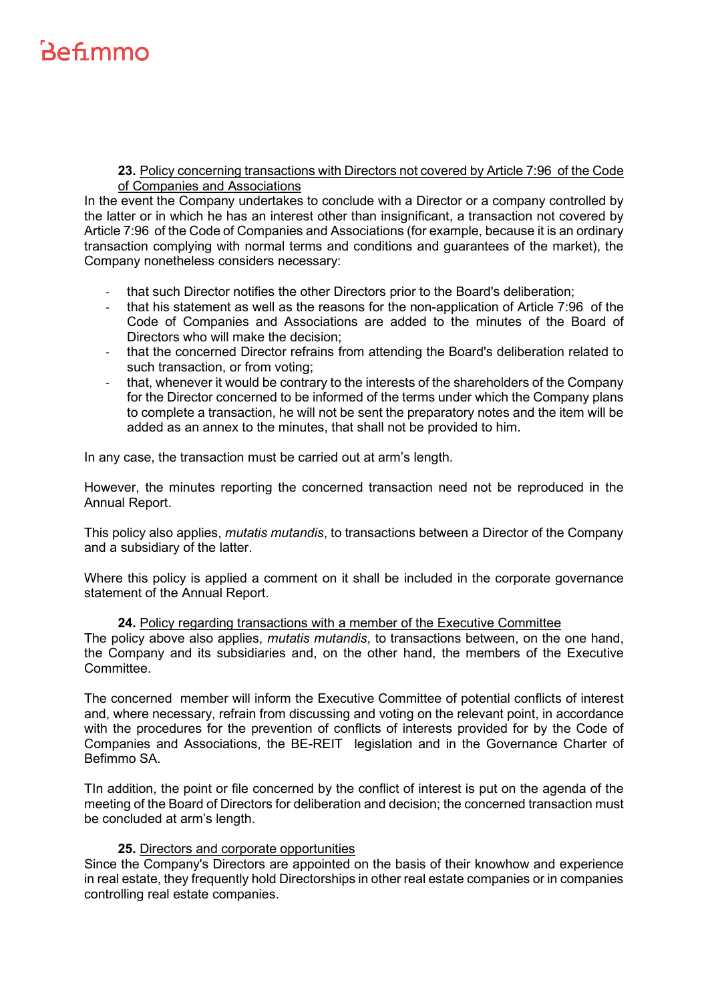#### **23.** Policy concerning transactions with Directors not covered by Article 7:96 of the Code of Companies and Associations

<span id="page-12-0"></span>In the event the Company undertakes to conclude with a Director or a company controlled by the latter or in which he has an interest other than insignificant, a transaction not covered by Article 7:96 of the Code of Companies and Associations (for example, because it is an ordinary transaction complying with normal terms and conditions and guarantees of the market), the Company nonetheless considers necessary:

- that such Director notifies the other Directors prior to the Board's deliberation;
- that his statement as well as the reasons for the non-application of Article 7:96 of the Code of Companies and Associations are added to the minutes of the Board of Directors who will make the decision;
- that the concerned Director refrains from attending the Board's deliberation related to such transaction, or from voting;
- that, whenever it would be contrary to the interests of the shareholders of the Company for the Director concerned to be informed of the terms under which the Company plans to complete a transaction, he will not be sent the preparatory notes and the item will be added as an annex to the minutes, that shall not be provided to him.

In any case, the transaction must be carried out at arm's length.

However, the minutes reporting the concerned transaction need not be reproduced in the Annual Report.

This policy also applies, *mutatis mutandis*, to transactions between a Director of the Company and a subsidiary of the latter.

Where this policy is applied a comment on it shall be included in the corporate governance statement of the Annual Report.

<span id="page-12-1"></span>**24.** Policy regarding transactions with a member of the Executive Committee The policy above also applies, *mutatis mutandis*, to transactions between, on the one hand, the Company and its subsidiaries and, on the other hand, the members of the Executive Committee.

The concerned member will inform the Executive Committee of potential conflicts of interest and, where necessary, refrain from discussing and voting on the relevant point, in accordance with the procedures for the prevention of conflicts of interests provided for by the Code of Companies and Associations, the BE-REIT legislation and in the Governance Charter of Befimmo SA.

TIn addition, the point or file concerned by the conflict of interest is put on the agenda of the meeting of the Board of Directors for deliberation and decision; the concerned transaction must be concluded at arm's length.

## **25.** Directors and corporate opportunities

<span id="page-12-2"></span>Since the Company's Directors are appointed on the basis of their knowhow and experience in real estate, they frequently hold Directorships in other real estate companies or in companies controlling real estate companies.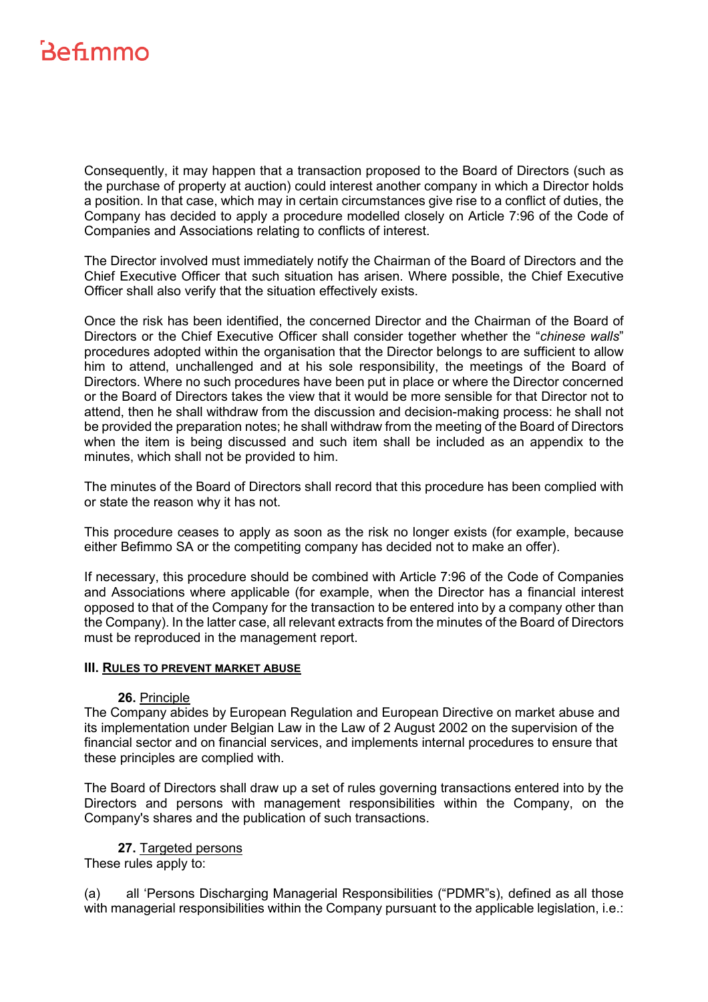Consequently, it may happen that a transaction proposed to the Board of Directors (such as the purchase of property at auction) could interest another company in which a Director holds a position. In that case, which may in certain circumstances give rise to a conflict of duties, the Company has decided to apply a procedure modelled closely on Article 7:96 of the Code of Companies and Associations relating to conflicts of interest.

The Director involved must immediately notify the Chairman of the Board of Directors and the Chief Executive Officer that such situation has arisen. Where possible, the Chief Executive Officer shall also verify that the situation effectively exists.

Once the risk has been identified, the concerned Director and the Chairman of the Board of Directors or the Chief Executive Officer shall consider together whether the "*chinese walls*" procedures adopted within the organisation that the Director belongs to are sufficient to allow him to attend, unchallenged and at his sole responsibility, the meetings of the Board of Directors. Where no such procedures have been put in place or where the Director concerned or the Board of Directors takes the view that it would be more sensible for that Director not to attend, then he shall withdraw from the discussion and decision-making process: he shall not be provided the preparation notes; he shall withdraw from the meeting of the Board of Directors when the item is being discussed and such item shall be included as an appendix to the minutes, which shall not be provided to him.

The minutes of the Board of Directors shall record that this procedure has been complied with or state the reason why it has not.

This procedure ceases to apply as soon as the risk no longer exists (for example, because either Befimmo SA or the competiting company has decided not to make an offer).

If necessary, this procedure should be combined with Article 7:96 of the Code of Companies and Associations where applicable (for example, when the Director has a financial interest opposed to that of the Company for the transaction to be entered into by a company other than the Company). In the latter case, all relevant extracts from the minutes of the Board of Directors must be reproduced in the management report.

### <span id="page-13-0"></span>**III. RULES TO PREVENT MARKET ABUSE**

#### **26.** Principle

<span id="page-13-1"></span>The Company abides by European Regulation and European Directive on market abuse and its implementation under Belgian Law in the Law of 2 August 2002 on the supervision of the financial sector and on financial services, and implements internal procedures to ensure that these principles are complied with.

The Board of Directors shall draw up a set of rules governing transactions entered into by the Directors and persons with management responsibilities within the Company, on the Company's shares and the publication of such transactions.

<span id="page-13-2"></span>**27.** Targeted persons These rules apply to:

(a) all 'Persons Discharging Managerial Responsibilities ("PDMR"s), defined as all those with managerial responsibilities within the Company pursuant to the applicable legislation, i.e.: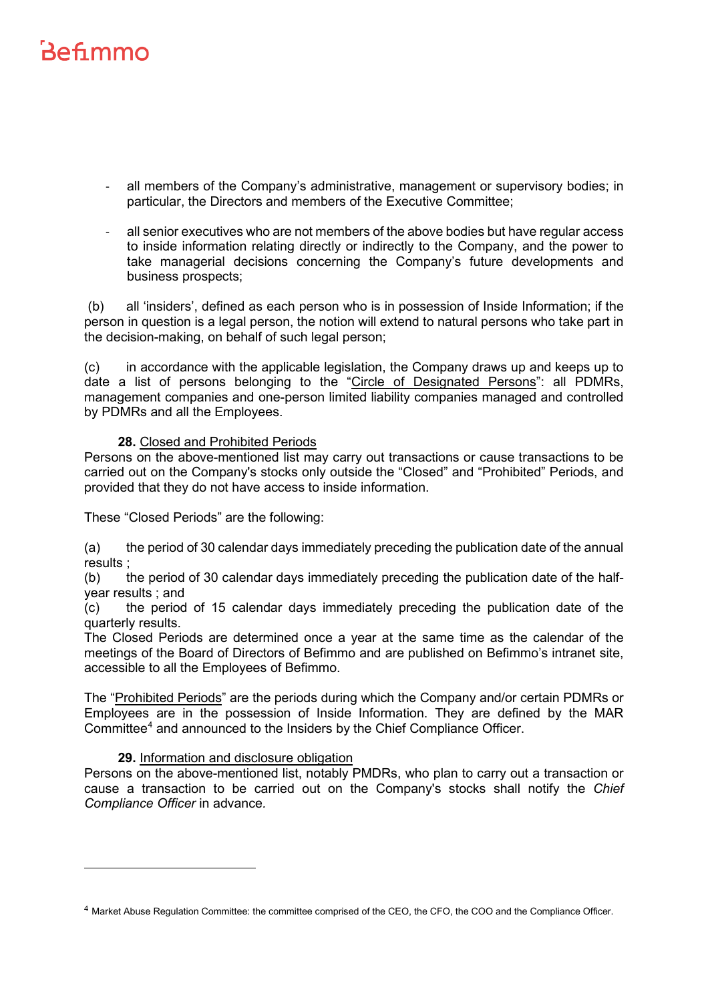- all members of the Company's administrative, management or supervisory bodies; in particular, the Directors and members of the Executive Committee;
- all senior executives who are not members of the above bodies but have regular access to inside information relating directly or indirectly to the Company, and the power to take managerial decisions concerning the Company's future developments and business prospects;

(b) all 'insiders', defined as each person who is in possession of Inside Information; if the person in question is a legal person, the notion will extend to natural persons who take part in the decision-making, on behalf of such legal person;

(c) in accordance with the applicable legislation, the Company draws up and keeps up to date a list of persons belonging to the "Circle of Designated Persons": all PDMRs, management companies and one-person limited liability companies managed and controlled by PDMRs and all the Employees.

# **28.** Closed and Prohibited Periods

<span id="page-14-0"></span>Persons on the above-mentioned list may carry out transactions or cause transactions to be carried out on the Company's stocks only outside the "Closed" and "Prohibited" Periods, and provided that they do not have access to inside information.

These "Closed Periods" are the following:

(a) the period of 30 calendar days immediately preceding the publication date of the annual results ;

(b) the period of 30 calendar days immediately preceding the publication date of the halfyear results ; and

(c) the period of 15 calendar days immediately preceding the publication date of the quarterly results.

The Closed Periods are determined once a year at the same time as the calendar of the meetings of the Board of Directors of Befimmo and are published on Befimmo's intranet site, accessible to all the Employees of Befimmo.

The "Prohibited Periods" are the periods during which the Company and/or certain PDMRs or Employees are in the possession of Inside Information. They are defined by the MAR Committee<sup>4</sup> and announced to the Insiders by the Chief Compliance Officer.

## **29.** Information and disclosure obligation

<span id="page-14-1"></span>Persons on the above-mentioned list, notably PMDRs, who plan to carry out a transaction or cause a transaction to be carried out on the Company's stocks shall notify the *Chief Compliance Officer* in advance*.*

<span id="page-14-2"></span><sup>4</sup> Market Abuse Regulation Committee: the committee comprised of the CEO, the CFO, the COO and the Compliance Officer.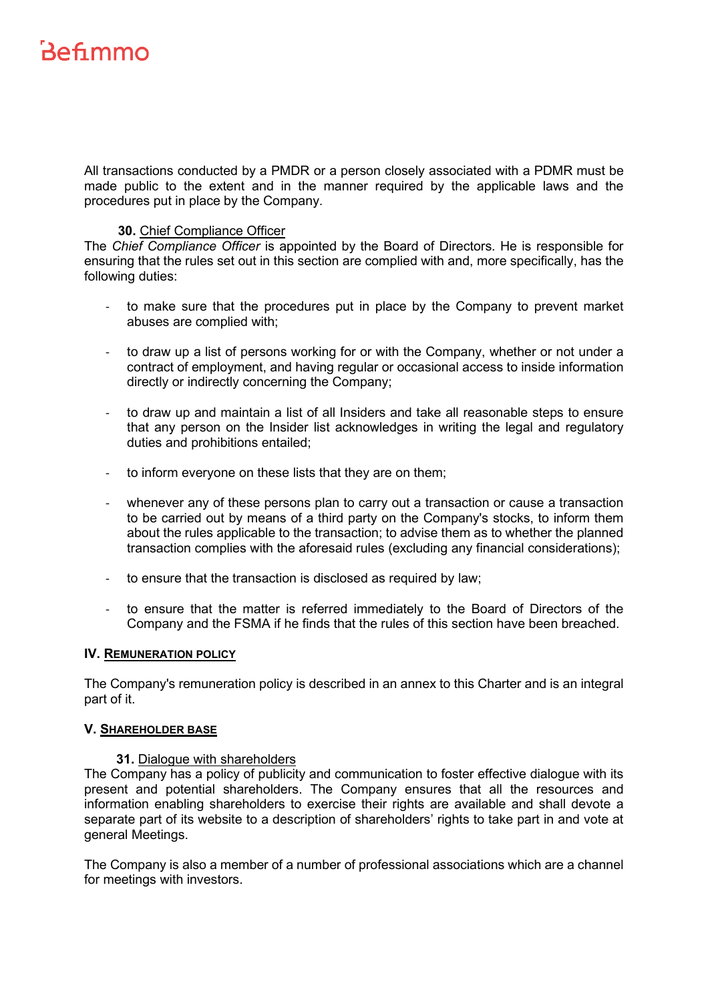All transactions conducted by a PMDR or a person closely associated with a PDMR must be made public to the extent and in the manner required by the applicable laws and the procedures put in place by the Company.

### **30.** Chief Compliance Officer

<span id="page-15-0"></span>The *Chief Compliance Officer* is appointed by the Board of Directors. He is responsible for ensuring that the rules set out in this section are complied with and, more specifically, has the following duties:

- to make sure that the procedures put in place by the Company to prevent market abuses are complied with;
- to draw up a list of persons working for or with the Company, whether or not under a contract of employment, and having regular or occasional access to inside information directly or indirectly concerning the Company;
- to draw up and maintain a list of all Insiders and take all reasonable steps to ensure that any person on the Insider list acknowledges in writing the legal and regulatory duties and prohibitions entailed;
- to inform everyone on these lists that they are on them;
- whenever any of these persons plan to carry out a transaction or cause a transaction to be carried out by means of a third party on the Company's stocks, to inform them about the rules applicable to the transaction; to advise them as to whether the planned transaction complies with the aforesaid rules (excluding any financial considerations);
- to ensure that the transaction is disclosed as required by law;
- to ensure that the matter is referred immediately to the Board of Directors of the Company and the FSMA if he finds that the rules of this section have been breached.

#### <span id="page-15-1"></span>**IV. REMUNERATION POLICY**

The Company's remuneration policy is described in an annex to this Charter and is an integral part of it.

#### <span id="page-15-2"></span>**V. SHAREHOLDER BASE**

## **31.** Dialogue with shareholders

<span id="page-15-3"></span>The Company has a policy of publicity and communication to foster effective dialogue with its present and potential shareholders. The Company ensures that all the resources and information enabling shareholders to exercise their rights are available and shall devote a separate part of its website to a description of shareholders' rights to take part in and vote at general Meetings.

The Company is also a member of a number of professional associations which are a channel for meetings with investors.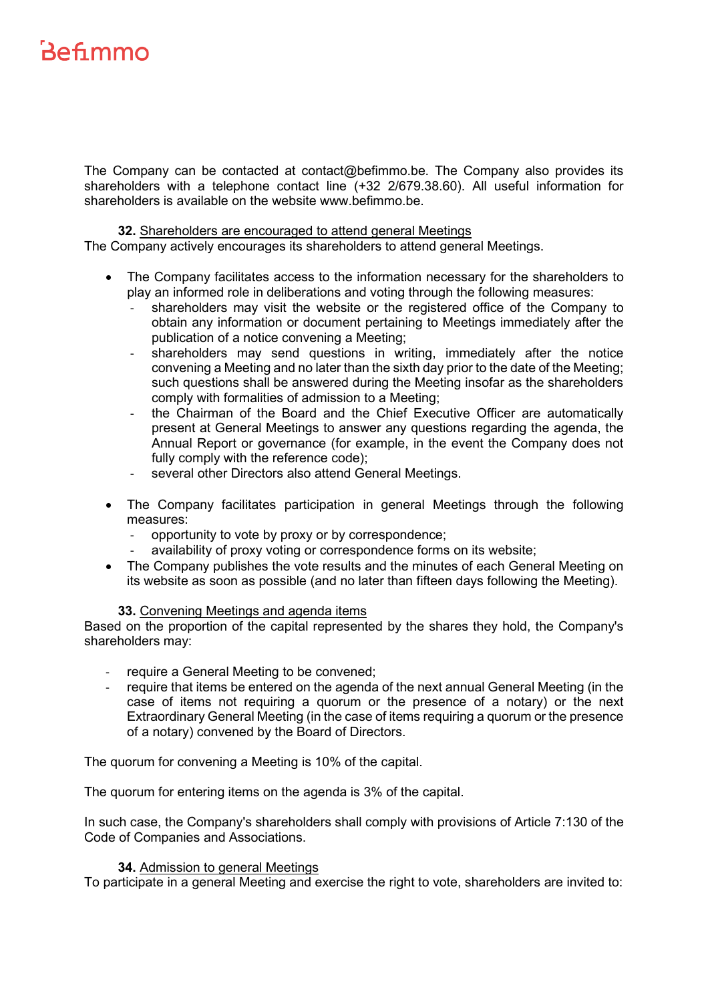The Company can be contacted at contact@befimmo.be. The Company also provides its shareholders with a telephone contact line (+32 2/679.38.60). All useful information for shareholders is available on the website www.befimmo.be.

#### **32.** Shareholders are encouraged to attend general Meetings

<span id="page-16-0"></span>The Company actively encourages its shareholders to attend general Meetings.

- The Company facilitates access to the information necessary for the shareholders to play an informed role in deliberations and voting through the following measures:
	- shareholders may visit the website or the registered office of the Company to obtain any information or document pertaining to Meetings immediately after the publication of a notice convening a Meeting;
	- shareholders may send questions in writing, immediately after the notice convening a Meeting and no later than the sixth day prior to the date of the Meeting; such questions shall be answered during the Meeting insofar as the shareholders comply with formalities of admission to a Meeting;
	- the Chairman of the Board and the Chief Executive Officer are automatically present at General Meetings to answer any questions regarding the agenda, the Annual Report or governance (for example, in the event the Company does not fully comply with the reference code);
	- several other Directors also attend General Meetings.
- The Company facilitates participation in general Meetings through the following measures:
	- opportunity to vote by proxy or by correspondence;
	- availability of proxy voting or correspondence forms on its website;
- The Company publishes the vote results and the minutes of each General Meeting on its website as soon as possible (and no later than fifteen days following the Meeting).

#### **33.** Convening Meetings and agenda items

<span id="page-16-1"></span>Based on the proportion of the capital represented by the shares they hold, the Company's shareholders may:

- require a General Meeting to be convened;
- require that items be entered on the agenda of the next annual General Meeting (in the case of items not requiring a quorum or the presence of a notary) or the next Extraordinary General Meeting (in the case of items requiring a quorum or the presence of a notary) convened by the Board of Directors.

The quorum for convening a Meeting is 10% of the capital.

The quorum for entering items on the agenda is 3% of the capital.

In such case, the Company's shareholders shall comply with provisions of Article 7:130 of the Code of Companies and Associations.

#### **34.** Admission to general Meetings

<span id="page-16-2"></span>To participate in a general Meeting and exercise the right to vote, shareholders are invited to: